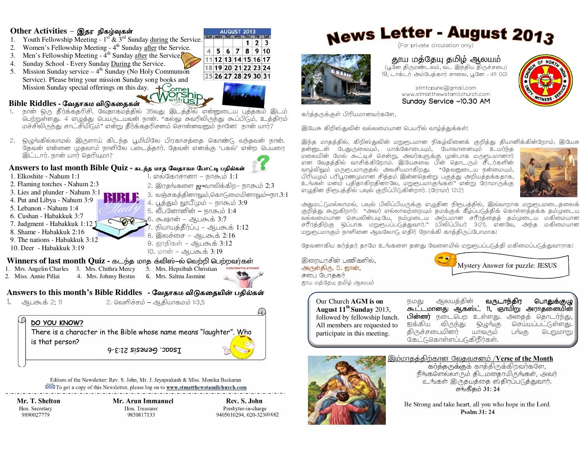#### Other Activities - இதர நிகழ்வுகள்

- 1. Youth Fellowship Meeting  $1<sup>st</sup>$  &  $3<sup>rd</sup>$  Sunday during the Service.
- Women's Fellowship Meeting 4<sup>th</sup> Sunday after the Service.  $2.$
- 3. Men's Fellowship Meeting 4<sup>th</sup> Sunday after the Service 4. Sunday School - Every Sunday During the Service.
- 5. Mission Sunday service  $-4<sup>th</sup>$  Sunday (No Holy Communion Service). Please bring your mission Sunday song books and
	- Mission Sunday special offerings on this day.  $+$  Comer

#### Bible Riddles - வேதாகம விடுகதைகள்

- நான் ஒரு தீர்க்கதரிசி. வேதாகமத்தில் 35வது இடத்தில் என்னுடைய புத்தகம் இடம்  $1.$ .<br>பெற்றுள்ளது. 4 எழுத்து பெயருடயவன் நான். "கல்லு சுவரிலிருந்து கூப்பிடும், உத்திரம் மச்சிலிருந்து சாட்சியிடும்" என்று தீர்க்கதரிசனம் சொன்னவனும் நானே! நான் யார்?
- 2. ஒழுங்கில்லாமல் இருளாய் கிடந்த பூமியிலே பிரகாசத்தை கொண்டு வந்தவன் நான். தேவன் என்னை முதலாம் நாளிலே படைத்தார். தேவன் எனக்கு 'பகல்' என்ற பெயரை இட்டார். நான் யார் தெரியுமா?

#### Answers to last month Bible Quiz - கடந்த மாத வேதாகம போட்டி பதில்கள்

1. Elkoshite - Nahum 1:1

- 1. எல்கோசானா நாகூம்  $1:1$
- 2. Flaming torches Nahum 2:3
- 2. இரதங்களை ஜுவாலிக்கிற– நாகூம் 2:3 3. வஞ்சகத்தினாலும்,கொடுமையினாலும்-நா.3:1

4. புக்கும் லாபீமும் – நாகூம் 3:9

- 3. Lies and plunder Nahum 3:1
- 4. Put and Libya Nahum 3:9
- 5. Lebanon Nahum 1:4
- 6. Cushan Habakkuk 3:7
- 7. Judgment Habakkuk 1:12 J
- 8. Shame Habakkuk 2:16
- 9. The nations Habakkuk 3:12 10. Deer - Habakkuk 3:19

6. கூஷான் – ஆபகூக் 3:7 7. நியாயத்தீர்ப்பு – ஆபகூக் 1:12 8. இலச்சை – ஆபசுக் 2:16 9. ஜாதிகள் – ஆபகூக்  $3:12$ 

5. லீபனோனின் – நாகூம் 1:4

10. மான் – ஆபசுூக் 3:19

### Winners of last month Quiz - கடந்த மாத க்விஸ்–ல் வெற்றி பெற்றவர்கள்

1. Mrs. Angelin Charles 3. Mrs. Chithra Mercy 2. Miss. Annie Pillai 4. Mrs. Johnsy Bestus

- 5. Mrs. Hepzibah Christian 6. Mrs. Salma Jasmine
	-

## Answers to this month's Bible Riddles - வேதாகம விடுகதையின் பதில்கள்

- ஆபகூக் 2: 11
- 2. வெளிச்சம் ஆகியாகமம் 1:3.5

DO YOU KNOW? There is a character in the Bible whose name means "laughter". Who is that person? LSQQC. Genesis 21:3-6

Editors of the Newsletter: Rev. S. John, Mr. J. Jeyaprakash & Miss. Monika Baskaran

To get a copy of this Newsletter, please log on to www.stmatthewstamilchurch.com

Mr. T. Shelton Hon. Secretary 9890027779

Mr. Arun Immanuel Hon. Treasurer 9850817133

Rev. S. John Presbyter-in-charge 9405010294, 020-32301682

# **News Letter - August 2013** (For private circulation only)



தூய மத்தேயு தமிழ் ஆலயம் (பூனே திருமண்டலம், வட இந்திய திருச்சபை) 19, டாக்டர் அம்பேத்கார் சாலை, பூனே - 411 001



stmtcpune@gmail.com www.stmatthewstamilchurch.com Sunday Service -10.30 AM

கர்த்தருக்குள் பிரியமானவர்களே.

இயேசு கிறிஸ்துவின் வல்லமையான பெயரில் வாழ்த்துக்கள்!

இந்த மாதத்தில், கிறிஸ்துவின் மறுரூபமான நிகழ்வினைக் குறித்து தியானிக்கின்றோம். இயேசு

தன்னுடன் பேதுருவையும், யாக்கோபையும், யோவானையும் உயர்ந்த மலையின் மேல கூட்டிச் சென்று, அவர்களுக்கு முன்பாக மருரூபமானார் என வேதத்தில் வாசிக்கிறோம். இயேசுவை பின் தொடரும் சீடர்களின் வாழ்விலும் மருளுபமாகுதல் அவசியமாகிறது. "தேவனுடைய நன்மையும், பிரியமும் பரிபூரணமுமான சித்தம் இன்னதென்று பகுத்து அறியத்தக்கதாக, உங்கள் மனம் புதிதாகிறதினாலே, மறுரூபமாகுங்கள்" என்று ரோமாருக்கு எழுதின நிரூபத்தில் பவல் குறிப்பிடுகின்றார். (ரோமர் 12:2)



அதுமட்டுமல்லாமல், பவுல் பிலிப்பியருக்கு எழுதின நிரூபத்தில், இவ்வாறாக மறுரூபமடைதலைக் குறித்து கூறுகிறார்: "அவர் எல்லாவற்றையும் தமக்குக் கீழ்ப்படுத்திக் கொள்ளத்தக்க தம்முடைய சரீரத்திற்கு ஒப்பாக மறுரூபப்படுத்துவார்." (பிலிப்பியர் 3:21). எனவே, அந்த மகிமையான மறுருபமாகும் நாளினை ஆவலோடு எதிர் நோக்கி காத்திருப்போமாக!

தேவனாகிய கர்க்கர் காமே உங்களை கனது வேளையில் மறுரூபப்படுக்கி மகிமைப்படுக்துவாராக!

இறையாசின் பணிகளில், அருள்கிரு. S. ஜான், சபை போக்கா தாய மத்தேயு தமிழ் ஆலயம்



Our Church AGM is on August  $11^{th}$  Sunday 2013, followed by fellowship lunch. All members are requested to participate in this meeting.

ஆலயத்தின் வருடாந்திர பொதுக்குழு நமது கூட்டமானது ஆகஸ்ட் 11, ஞாயிறு அராதனையின் பின்னர் நடைபெற உள்ளது. அதைத் தொடர்ந்து, ஐக்கிய விருந்து செய்யப்பட்டுள்ளது. ஒழுந்கு திருச்சபையினர் பங்கு யாவரும் பெறுமாறு கேட்டுகொள்ளப்படுகிறீர்கள்.



இம்மாதத்திற்கான வேதவசனம் /Verse of the Month

கர்த்தருக்குக் காத்திருக்கிறவர்களே, நீங்களெல்லாரும் திடமனதாயிருங்கள், அவர் உங்கள் இருதயத்தை ஸ்திரப்படுத்துவார். சங்கீதம் 31:24

Be Strong and take heart, all you who hope in the Lord. **Psalm 31:24** 





**AUGUST 2013** 

11 12 13 14 15 16 17

18 19 20 21 22 23 24

 $|25|26|27|28|29|30|31$ 

 $\mathbf{A}$ 

 $5678910$ 

 $1 \mid 2 \mid 3$